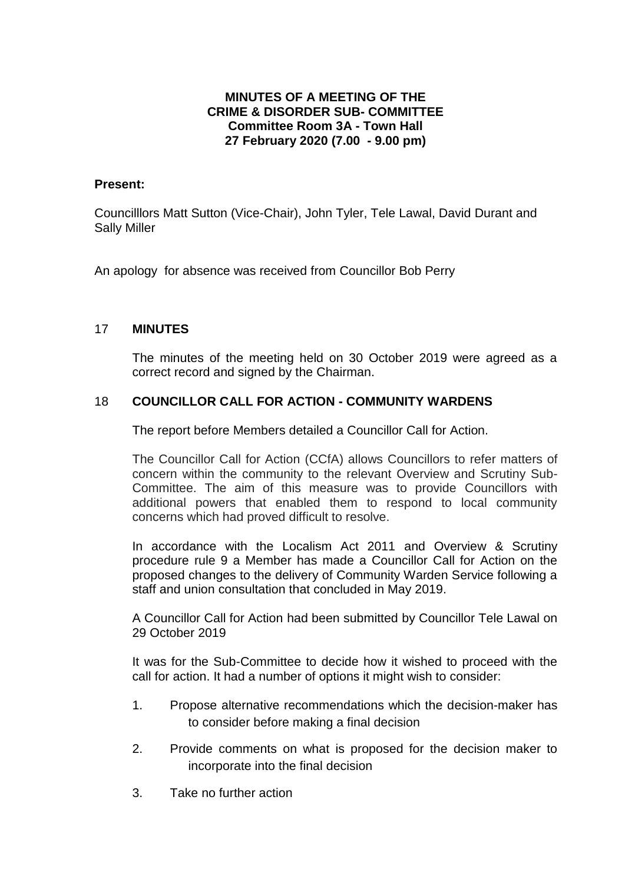# **MINUTES OF A MEETING OF THE CRIME & DISORDER SUB- COMMITTEE Committee Room 3A - Town Hall 27 February 2020 (7.00 - 9.00 pm)**

## **Present:**

Councilllors Matt Sutton (Vice-Chair), John Tyler, Tele Lawal, David Durant and Sally Miller

An apology for absence was received from Councillor Bob Perry

# 17 **MINUTES**

The minutes of the meeting held on 30 October 2019 were agreed as a correct record and signed by the Chairman.

# 18 **COUNCILLOR CALL FOR ACTION - COMMUNITY WARDENS**

The report before Members detailed a Councillor Call for Action.

The Councillor Call for Action (CCfA) allows Councillors to refer matters of concern within the community to the relevant Overview and Scrutiny Sub-Committee. The aim of this measure was to provide Councillors with additional powers that enabled them to respond to local community concerns which had proved difficult to resolve.

In accordance with the Localism Act 2011 and Overview & Scrutiny procedure rule 9 a Member has made a Councillor Call for Action on the proposed changes to the delivery of Community Warden Service following a staff and union consultation that concluded in May 2019.

A Councillor Call for Action had been submitted by Councillor Tele Lawal on 29 October 2019

It was for the Sub-Committee to decide how it wished to proceed with the call for action. It had a number of options it might wish to consider:

- 1. Propose alternative recommendations which the decision-maker has to consider before making a final decision
- 2. Provide comments on what is proposed for the decision maker to incorporate into the final decision
- 3. Take no further action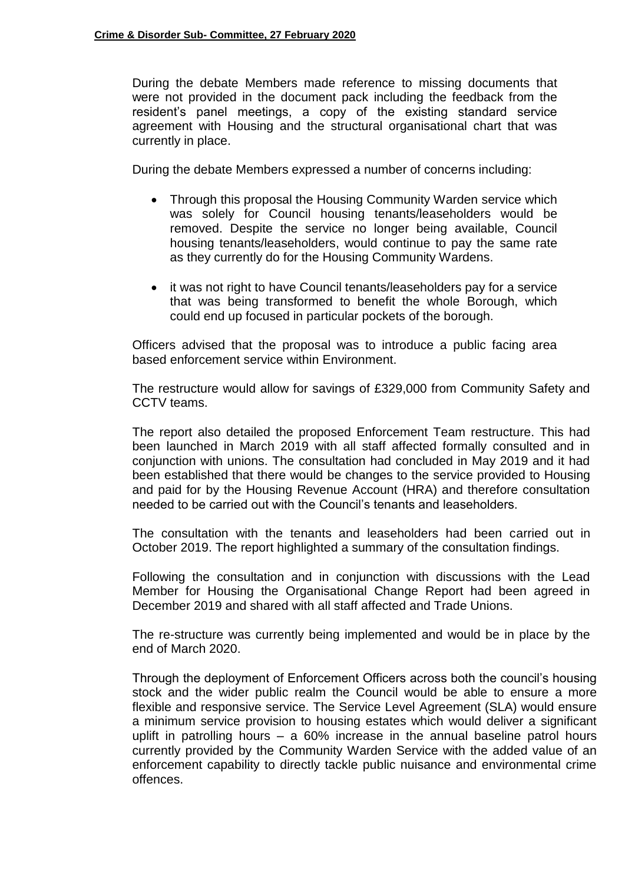During the debate Members made reference to missing documents that were not provided in the document pack including the feedback from the resident's panel meetings, a copy of the existing standard service agreement with Housing and the structural organisational chart that was currently in place.

During the debate Members expressed a number of concerns including:

- Through this proposal the Housing Community Warden service which was solely for Council housing tenants/leaseholders would be removed. Despite the service no longer being available, Council housing tenants/leaseholders, would continue to pay the same rate as they currently do for the Housing Community Wardens.
- it was not right to have Council tenants/leaseholders pay for a service that was being transformed to benefit the whole Borough, which could end up focused in particular pockets of the borough.

Officers advised that the proposal was to introduce a public facing area based enforcement service within Environment.

The restructure would allow for savings of £329,000 from Community Safety and CCTV teams.

The report also detailed the proposed Enforcement Team restructure. This had been launched in March 2019 with all staff affected formally consulted and in conjunction with unions. The consultation had concluded in May 2019 and it had been established that there would be changes to the service provided to Housing and paid for by the Housing Revenue Account (HRA) and therefore consultation needed to be carried out with the Council's tenants and leaseholders.

The consultation with the tenants and leaseholders had been carried out in October 2019. The report highlighted a summary of the consultation findings.

Following the consultation and in conjunction with discussions with the Lead Member for Housing the Organisational Change Report had been agreed in December 2019 and shared with all staff affected and Trade Unions.

The re-structure was currently being implemented and would be in place by the end of March 2020.

Through the deployment of Enforcement Officers across both the council's housing stock and the wider public realm the Council would be able to ensure a more flexible and responsive service. The Service Level Agreement (SLA) would ensure a minimum service provision to housing estates which would deliver a significant uplift in patrolling hours – a 60% increase in the annual baseline patrol hours currently provided by the Community Warden Service with the added value of an enforcement capability to directly tackle public nuisance and environmental crime offences.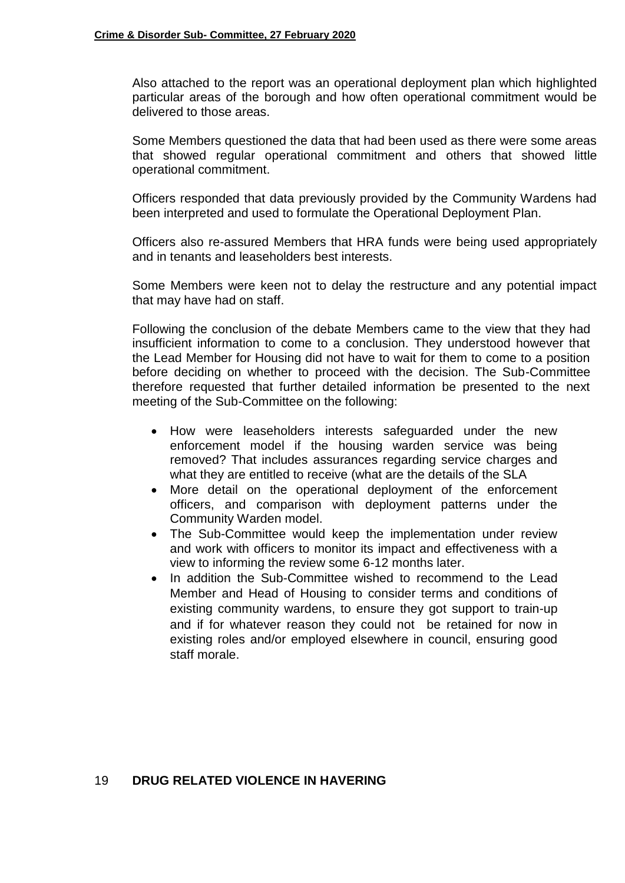Also attached to the report was an operational deployment plan which highlighted particular areas of the borough and how often operational commitment would be delivered to those areas.

Some Members questioned the data that had been used as there were some areas that showed regular operational commitment and others that showed little operational commitment.

Officers responded that data previously provided by the Community Wardens had been interpreted and used to formulate the Operational Deployment Plan.

Officers also re-assured Members that HRA funds were being used appropriately and in tenants and leaseholders best interests.

Some Members were keen not to delay the restructure and any potential impact that may have had on staff.

Following the conclusion of the debate Members came to the view that they had insufficient information to come to a conclusion. They understood however that the Lead Member for Housing did not have to wait for them to come to a position before deciding on whether to proceed with the decision. The Sub-Committee therefore requested that further detailed information be presented to the next meeting of the Sub-Committee on the following:

- How were leaseholders interests safeguarded under the new enforcement model if the housing warden service was being removed? That includes assurances regarding service charges and what they are entitled to receive (what are the details of the SLA
- More detail on the operational deployment of the enforcement officers, and comparison with deployment patterns under the Community Warden model.
- The Sub-Committee would keep the implementation under review and work with officers to monitor its impact and effectiveness with a view to informing the review some 6-12 months later.
- In addition the Sub-Committee wished to recommend to the Lead Member and Head of Housing to consider terms and conditions of existing community wardens, to ensure they got support to train-up and if for whatever reason they could not be retained for now in existing roles and/or employed elsewhere in council, ensuring good staff morale.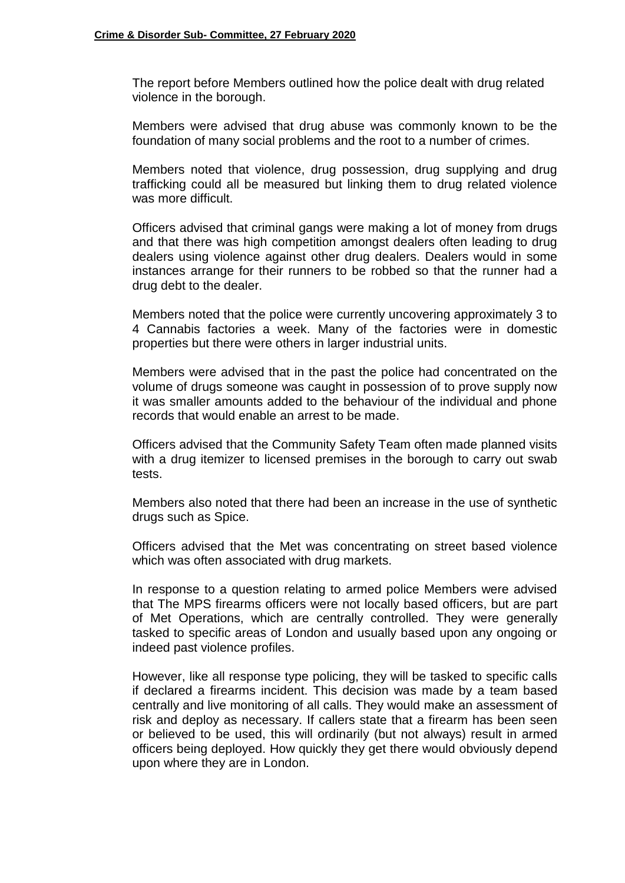The report before Members outlined how the police dealt with drug related violence in the borough.

Members were advised that drug abuse was commonly known to be the foundation of many social problems and the root to a number of crimes.

Members noted that violence, drug possession, drug supplying and drug trafficking could all be measured but linking them to drug related violence was more difficult.

Officers advised that criminal gangs were making a lot of money from drugs and that there was high competition amongst dealers often leading to drug dealers using violence against other drug dealers. Dealers would in some instances arrange for their runners to be robbed so that the runner had a drug debt to the dealer.

Members noted that the police were currently uncovering approximately 3 to 4 Cannabis factories a week. Many of the factories were in domestic properties but there were others in larger industrial units.

Members were advised that in the past the police had concentrated on the volume of drugs someone was caught in possession of to prove supply now it was smaller amounts added to the behaviour of the individual and phone records that would enable an arrest to be made.

Officers advised that the Community Safety Team often made planned visits with a drug itemizer to licensed premises in the borough to carry out swab tests.

Members also noted that there had been an increase in the use of synthetic drugs such as Spice.

Officers advised that the Met was concentrating on street based violence which was often associated with drug markets.

In response to a question relating to armed police Members were advised that The MPS firearms officers were not locally based officers, but are part of Met Operations, which are centrally controlled. They were generally tasked to specific areas of London and usually based upon any ongoing or indeed past violence profiles.

However, like all response type policing, they will be tasked to specific calls if declared a firearms incident. This decision was made by a team based centrally and live monitoring of all calls. They would make an assessment of risk and deploy as necessary. If callers state that a firearm has been seen or believed to be used, this will ordinarily (but not always) result in armed officers being deployed. How quickly they get there would obviously depend upon where they are in London.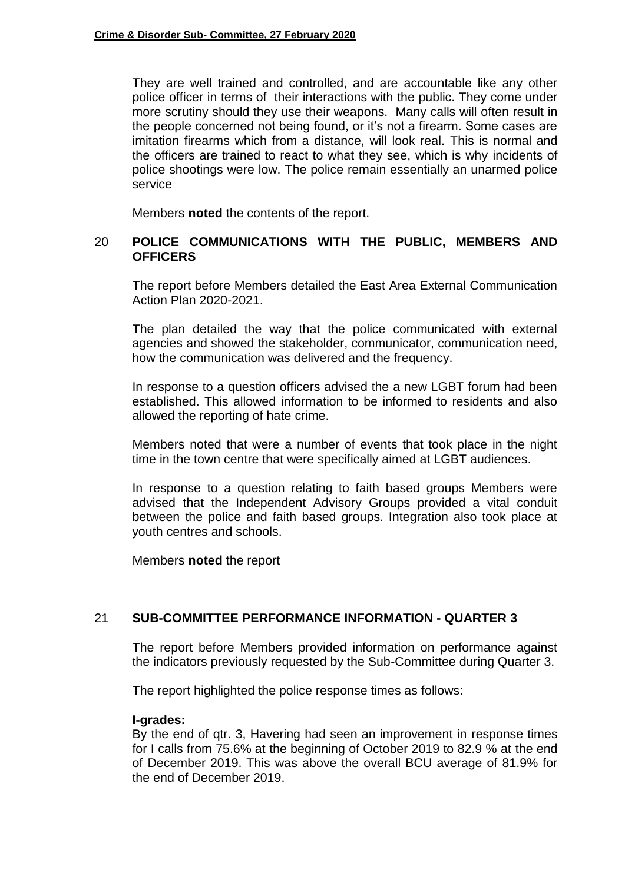They are well trained and controlled, and are accountable like any other police officer in terms of their interactions with the public. They come under more scrutiny should they use their weapons. Many calls will often result in the people concerned not being found, or it's not a firearm. Some cases are imitation firearms which from a distance, will look real. This is normal and the officers are trained to react to what they see, which is why incidents of police shootings were low. The police remain essentially an unarmed police service

Members **noted** the contents of the report.

## 20 **POLICE COMMUNICATIONS WITH THE PUBLIC, MEMBERS AND OFFICERS**

The report before Members detailed the East Area External Communication Action Plan 2020-2021.

The plan detailed the way that the police communicated with external agencies and showed the stakeholder, communicator, communication need, how the communication was delivered and the frequency.

In response to a question officers advised the a new LGBT forum had been established. This allowed information to be informed to residents and also allowed the reporting of hate crime.

Members noted that were a number of events that took place in the night time in the town centre that were specifically aimed at LGBT audiences.

In response to a question relating to faith based groups Members were advised that the Independent Advisory Groups provided a vital conduit between the police and faith based groups. Integration also took place at youth centres and schools.

Members **noted** the report

## 21 **SUB-COMMITTEE PERFORMANCE INFORMATION - QUARTER 3**

The report before Members provided information on performance against the indicators previously requested by the Sub-Committee during Quarter 3.

The report highlighted the police response times as follows:

#### **I-grades:**

By the end of qtr. 3, Havering had seen an improvement in response times for I calls from 75.6% at the beginning of October 2019 to 82.9 % at the end of December 2019. This was above the overall BCU average of 81.9% for the end of December 2019.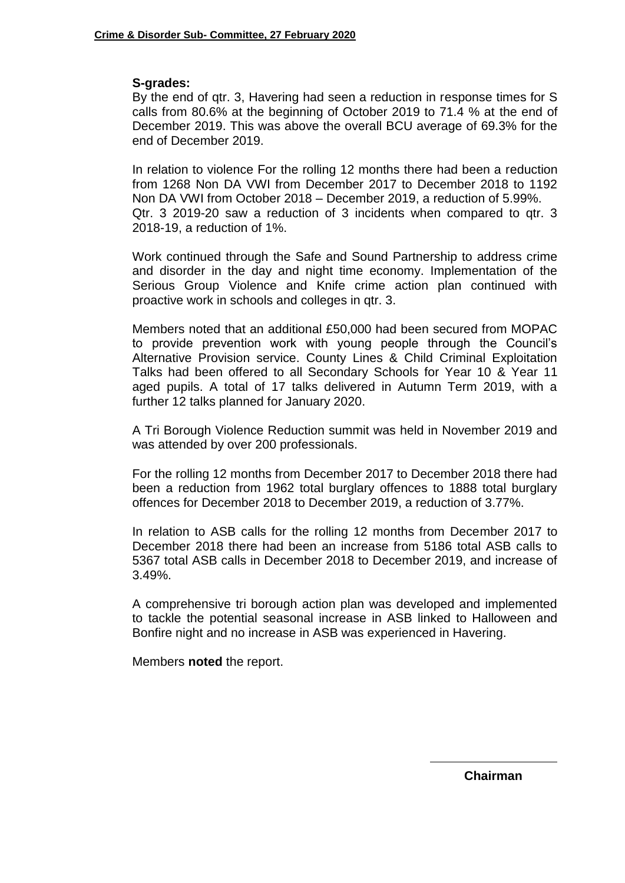# **S-grades:**

By the end of qtr. 3, Havering had seen a reduction in response times for S calls from 80.6% at the beginning of October 2019 to 71.4 % at the end of December 2019. This was above the overall BCU average of 69.3% for the end of December 2019.

In relation to violence For the rolling 12 months there had been a reduction from 1268 Non DA VWI from December 2017 to December 2018 to 1192 Non DA VWI from October 2018 – December 2019, a reduction of 5.99%. Qtr. 3 2019-20 saw a reduction of 3 incidents when compared to qtr. 3 2018-19, a reduction of 1%.

Work continued through the Safe and Sound Partnership to address crime and disorder in the day and night time economy. Implementation of the Serious Group Violence and Knife crime action plan continued with proactive work in schools and colleges in qtr. 3.

Members noted that an additional £50,000 had been secured from MOPAC to provide prevention work with young people through the Council's Alternative Provision service. County Lines & Child Criminal Exploitation Talks had been offered to all Secondary Schools for Year 10 & Year 11 aged pupils. A total of 17 talks delivered in Autumn Term 2019, with a further 12 talks planned for January 2020.

A Tri Borough Violence Reduction summit was held in November 2019 and was attended by over 200 professionals.

For the rolling 12 months from December 2017 to December 2018 there had been a reduction from 1962 total burglary offences to 1888 total burglary offences for December 2018 to December 2019, a reduction of 3.77%.

In relation to ASB calls for the rolling 12 months from December 2017 to December 2018 there had been an increase from 5186 total ASB calls to 5367 total ASB calls in December 2018 to December 2019, and increase of 3.49%.

A comprehensive tri borough action plan was developed and implemented to tackle the potential seasonal increase in ASB linked to Halloween and Bonfire night and no increase in ASB was experienced in Havering.

Members **noted** the report.

**Chairman**